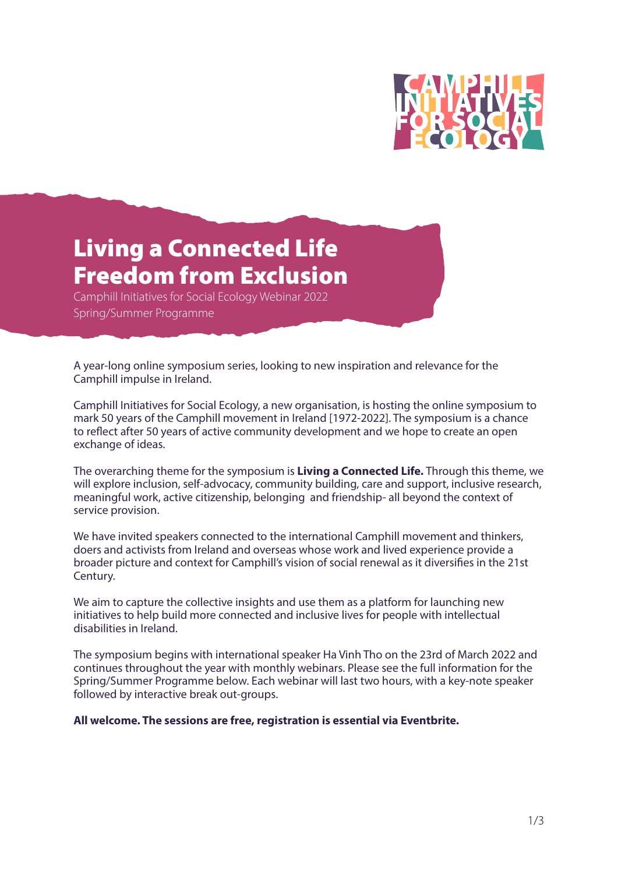

# Living a Connected Life Freedom from Exclusion

Camphill Initiatives for Social Ecology Webinar 2022 Spring/Summer Programme

A year-long online symposium series, looking to new inspiration and relevance for the Camphill impulse in Ireland.

Camphill Initiatives for Social Ecology, a new organisation, is hosting the online symposium to mark 50 years of the Camphill movement in Ireland [1972-2022]. The symposium is a chance to reflect after 50 years of active community development and we hope to create an open exchange of ideas.

The overarching theme for the symposium is **Living a Connected Life.** Through this theme, we will explore inclusion, self-advocacy, community building, care and support, inclusive research, meaningful work, active citizenship, belonging and friendship- all beyond the context of service provision.

We have invited speakers connected to the international Camphill movement and thinkers, doers and activists from Ireland and overseas whose work and lived experience provide a broader picture and context for Camphill's vision of social renewal as it diversifies in the 21st Century.

We aim to capture the collective insights and use them as a platform for launching new initiatives to help build more connected and inclusive lives for people with intellectual disabilities in Ireland.

The symposium begins with international speaker Ha Vinh Tho on the 23rd of March 2022 and continues throughout the year with monthly webinars. Please see the full information for the Spring/Summer Programme below. Each webinar will last two hours, with a key-note speaker followed by interactive break out-groups.

**All welcome. The sessions are free, registration is essential via Eventbrite.**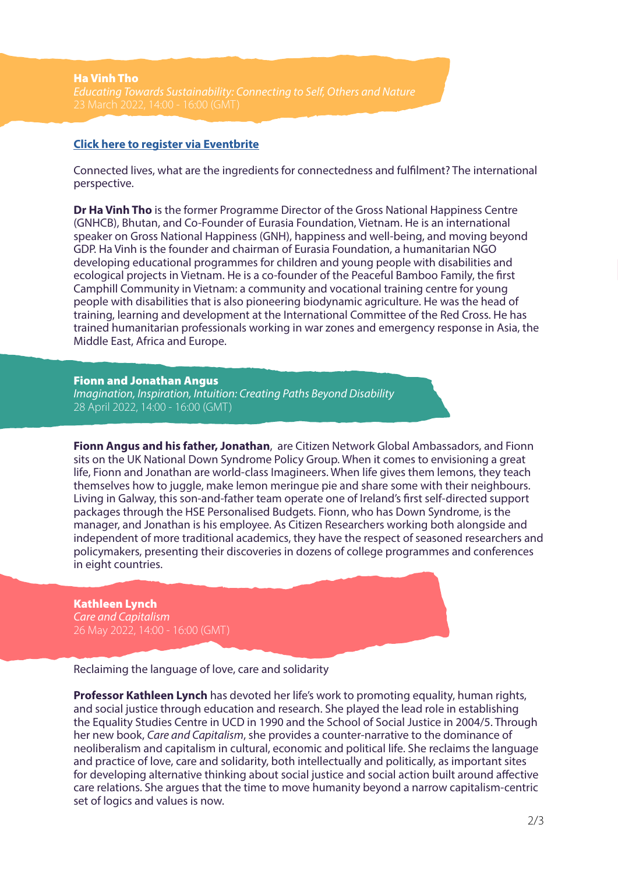# **[Click here to register via Eventbrite](https://www.eventbrite.com/e/ha-vinh-tho-registration-296881078297)**

Connected lives, what are the ingredients for connectedness and fulfilment? The international perspective.

**Dr Ha Vinh Tho** is the former Programme Director of the Gross National Happiness Centre (GNHCB), Bhutan, and Co-Founder of Eurasia Foundation, Vietnam. He is an international speaker on Gross National Happiness (GNH), happiness and well-being, and moving beyond GDP. Ha Vinh is the founder and chairman of Eurasia Foundation, a humanitarian NGO developing educational programmes for children and young people with disabilities and ecological projects in Vietnam. He is a co-founder of the Peaceful Bamboo Family, the first Camphill Community in Vietnam: a community and vocational training centre for young people with disabilities that is also pioneering biodynamic agriculture. He was the head of training, learning and development at the International Committee of the Red Cross. He has trained humanitarian professionals working in war zones and emergency response in Asia, the Middle East, Africa and Europe.

#### Fionn and Jonathan Angus

*Imagination, Inspiration, Intuition: Creating Paths Beyond Disability* 28 April 2022, 14:00 - 16:00 (GMT)

**Fionn Angus and his father, Jonathan**, are Citizen Network Global Ambassadors, and Fionn sits on the UK National Down Syndrome Policy Group. When it comes to envisioning a great life, Fionn and Jonathan are world-class Imagineers. When life gives them lemons, they teach themselves how to juggle, make lemon meringue pie and share some with their neighbours. Living in Galway, this son-and-father team operate one of Ireland's first self-directed support packages through the HSE Personalised Budgets. Fionn, who has Down Syndrome, is the manager, and Jonathan is his employee. As Citizen Researchers working both alongside and independent of more traditional academics, they have the respect of seasoned researchers and policymakers, presenting their discoveries in dozens of college programmes and conferences in eight countries.

## Kathleen Lynch *Care and Capitalism*

26 May 2022, 14:00 - 16:00 (GMT)

Reclaiming the language of love, care and solidarity

**Professor Kathleen Lynch** has devoted her life's work to promoting equality, human rights, and social justice through education and research. She played the lead role in establishing the Equality Studies Centre in UCD in 1990 and the School of Social Justice in 2004/5. Through her new book, *Care and Capitalism*, she provides a counter-narrative to the dominance of neoliberalism and capitalism in cultural, economic and political life. She reclaims the language and practice of love, care and solidarity, both intellectually and politically, as important sites for developing alternative thinking about social justice and social action built around affective care relations. She argues that the time to move humanity beyond a narrow capitalism-centric set of logics and values is now.